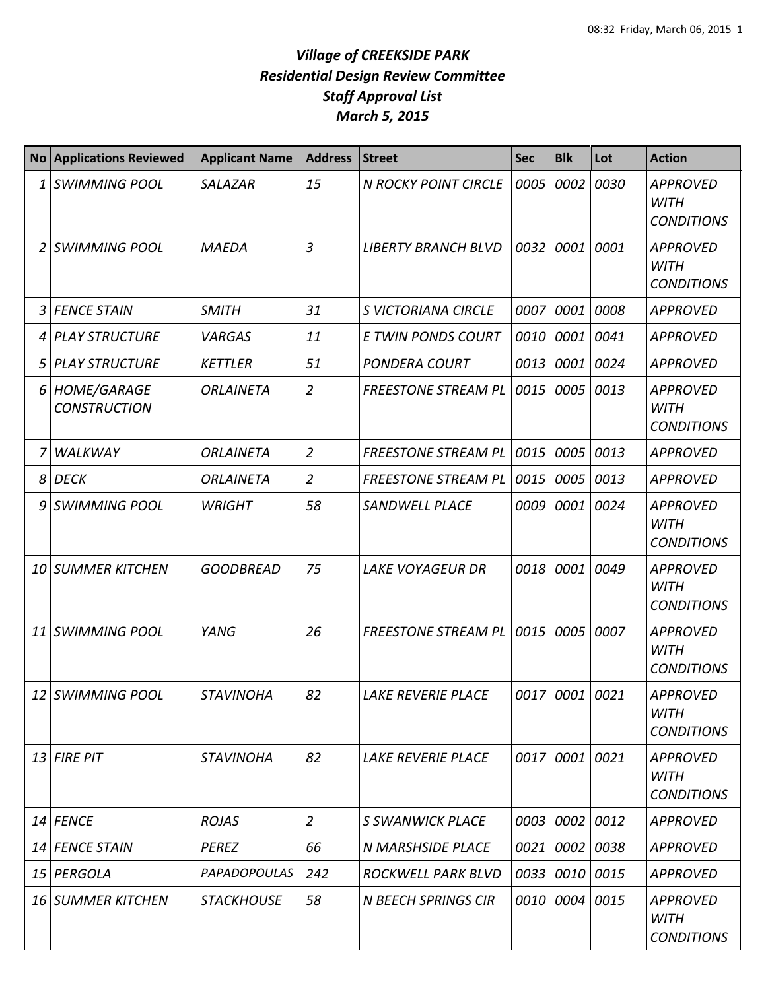| <b>No</b> | <b>Applications Reviewed</b>              | <b>Applicant Name</b> | <b>Address</b> | <b>Street</b>               | <b>Sec</b> | <b>Blk</b>     | Lot  | <b>Action</b>                                       |
|-----------|-------------------------------------------|-----------------------|----------------|-----------------------------|------------|----------------|------|-----------------------------------------------------|
| 1         | <b>SWIMMING POOL</b>                      | <b>SALAZAR</b>        | 15             | <b>N ROCKY POINT CIRCLE</b> | 0005       | 0002           | 0030 | <b>APPROVED</b><br><b>WITH</b><br><b>CONDITIONS</b> |
| 2         | <b>SWIMMING POOL</b>                      | <b>MAEDA</b>          | 3              | <b>LIBERTY BRANCH BLVD</b>  | 0032       | 0001           | 0001 | <b>APPROVED</b><br><b>WITH</b><br><b>CONDITIONS</b> |
| 3         | <b>FENCE STAIN</b>                        | <b>SMITH</b>          | 31             | S VICTORIANA CIRCLE         | 0007       | 0001           | 0008 | <b>APPROVED</b>                                     |
| 4         | <b>PLAY STRUCTURE</b>                     | <b>VARGAS</b>         | 11             | E TWIN PONDS COURT          | 0010       | 0001           | 0041 | <b>APPROVED</b>                                     |
| 5         | <b>PLAY STRUCTURE</b>                     | <b>KETTLER</b>        | 51             | <b>PONDERA COURT</b>        | 0013       | 0001           | 0024 | <b>APPROVED</b>                                     |
| 6         | <b>HOME/GARAGE</b><br><b>CONSTRUCTION</b> | <b>ORLAINETA</b>      | $\overline{2}$ | <b>FREESTONE STREAM PL</b>  | 0015       | 0005           | 0013 | <b>APPROVED</b><br><b>WITH</b><br><b>CONDITIONS</b> |
|           | <b>WALKWAY</b>                            | <b>ORLAINETA</b>      | $\overline{2}$ | <b>FREESTONE STREAM PL</b>  | 0015       | 0005           | 0013 | <b>APPROVED</b>                                     |
| 8         | <b>DECK</b>                               | <b>ORLAINETA</b>      | $\overline{2}$ | <b>FREESTONE STREAM PL</b>  | 0015       | 0005 0013      |      | <b>APPROVED</b>                                     |
| 9         | <b>SWIMMING POOL</b>                      | <b>WRIGHT</b>         | 58             | <b>SANDWELL PLACE</b>       | 0009       | 0001           | 0024 | <b>APPROVED</b><br><b>WITH</b><br><b>CONDITIONS</b> |
| 10        | <b>SUMMER KITCHEN</b>                     | <b>GOODBREAD</b>      | 75             | <b>LAKE VOYAGEUR DR</b>     | 0018       | 0001           | 0049 | <b>APPROVED</b><br><b>WITH</b><br><b>CONDITIONS</b> |
| 11        | <b>SWIMMING POOL</b>                      | YANG                  | 26             | <b>FREESTONE STREAM PL</b>  | 0015       | 0005           | 0007 | <b>APPROVED</b><br><b>WITH</b><br><b>CONDITIONS</b> |
| 12        | <b>SWIMMING POOL</b>                      | <b>STAVINOHA</b>      | 82             | <b>LAKE REVERIE PLACE</b>   | 0017       | 0001           | 0021 | <b>APPROVED</b><br><b>WITH</b><br><b>CONDITIONS</b> |
|           | 13 FIRE PIT                               | <b>STAVINOHA</b>      | 82             | <b>LAKE REVERIE PLACE</b>   |            | 0017 0001 0021 |      | <b>APPROVED</b><br><b>WITH</b><br><b>CONDITIONS</b> |
| 14        | <b>FENCE</b>                              | <b>ROJAS</b>          | $\overline{2}$ | S SWANWICK PLACE            | 0003       | 0002 0012      |      | APPROVED                                            |
| 14        | <b>FENCE STAIN</b>                        | <b>PEREZ</b>          | 66             | <b>N MARSHSIDE PLACE</b>    | 0021       | 0002 0038      |      | <b>APPROVED</b>                                     |
| 15        | PERGOLA                                   | <b>PAPADOPOULAS</b>   | 242            | ROCKWELL PARK BLVD          | 0033       | 0010 0015      |      | <b>APPROVED</b>                                     |
|           | <b>16 SUMMER KITCHEN</b>                  | <b>STACKHOUSE</b>     | 58             | <b>N BEECH SPRINGS CIR</b>  | 0010       | 0004 0015      |      | <b>APPROVED</b><br>WITH<br><b>CONDITIONS</b>        |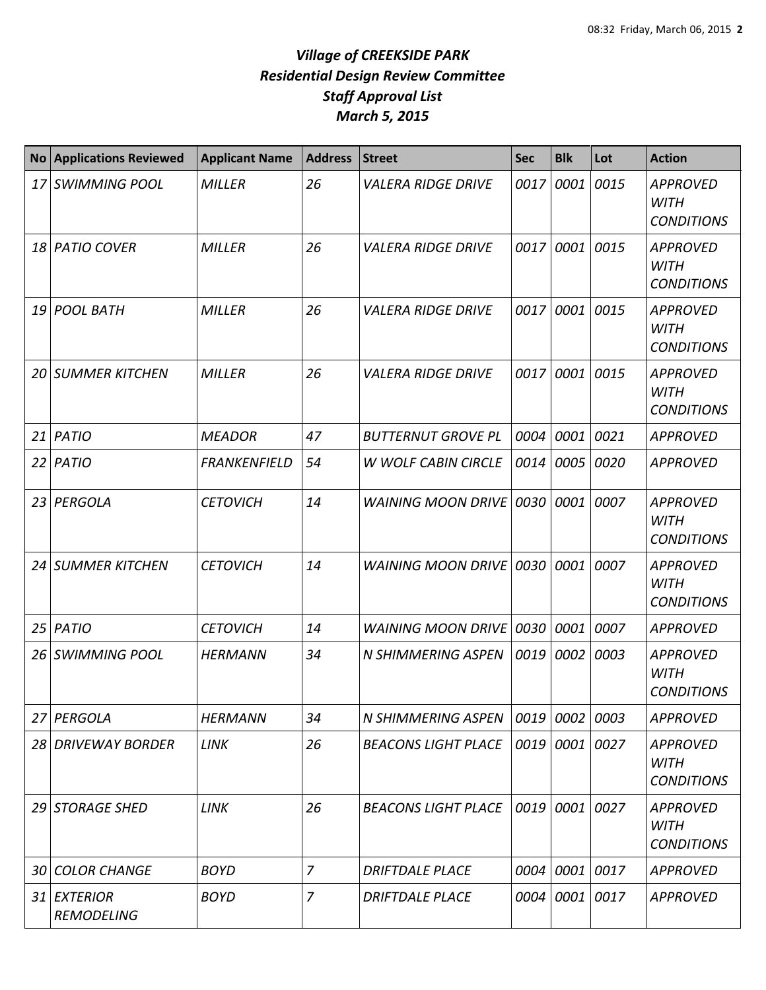| <b>No</b> | <b>Applications Reviewed</b>         | <b>Applicant Name</b> | <b>Address</b> | <b>Street</b>              | <b>Sec</b> | <b>Blk</b> | Lot  | <b>Action</b>                                       |
|-----------|--------------------------------------|-----------------------|----------------|----------------------------|------------|------------|------|-----------------------------------------------------|
| 17        | <b>SWIMMING POOL</b>                 | <b>MILLER</b>         | 26             | <b>VALERA RIDGE DRIVE</b>  | 0017       | 0001       | 0015 | <b>APPROVED</b><br><b>WITH</b><br><b>CONDITIONS</b> |
| 18        | <b>PATIO COVER</b>                   | <b>MILLER</b>         | 26             | <b>VALERA RIDGE DRIVE</b>  | 0017       | 0001       | 0015 | <b>APPROVED</b><br><b>WITH</b><br><b>CONDITIONS</b> |
| 19        | <b>POOL BATH</b>                     | <b>MILLER</b>         | 26             | <b>VALERA RIDGE DRIVE</b>  | 0017       | 0001       | 0015 | <b>APPROVED</b><br><b>WITH</b><br><b>CONDITIONS</b> |
| 20        | <b>SUMMER KITCHEN</b>                | <b>MILLER</b>         | 26             | <b>VALERA RIDGE DRIVE</b>  | 0017       | 0001       | 0015 | <b>APPROVED</b><br><b>WITH</b><br><b>CONDITIONS</b> |
| 21        | PATIO                                | <b>MEADOR</b>         | 47             | <b>BUTTERNUT GROVE PL</b>  | 0004       | 0001       | 0021 | <b>APPROVED</b>                                     |
| 22        | PATIO                                | <b>FRANKENFIELD</b>   | 54             | <b>W WOLF CABIN CIRCLE</b> | 0014       | 0005       | 0020 | <b>APPROVED</b>                                     |
| 23        | PERGOLA                              | <b>CETOVICH</b>       | 14             | <b>WAINING MOON DRIVE</b>  | 0030       | 0001       | 0007 | <b>APPROVED</b><br><b>WITH</b><br><b>CONDITIONS</b> |
| 24        | <b>SUMMER KITCHEN</b>                | <b>CETOVICH</b>       | 14             | WAINING MOON DRIVE 0030    |            | 0001       | 0007 | <b>APPROVED</b><br><b>WITH</b><br><b>CONDITIONS</b> |
| 25        | <b>PATIO</b>                         | <b>CETOVICH</b>       | 14             | WAINING MOON DRIVE 0030    |            | 0001       | 0007 | <b>APPROVED</b>                                     |
| 26        | <b>SWIMMING POOL</b>                 | <b>HERMANN</b>        | 34             | N SHIMMERING ASPEN         | 0019       | 0002       | 0003 | <b>APPROVED</b><br><b>WITH</b><br><b>CONDITIONS</b> |
| 27        | PERGOLA                              | <b>HERMANN</b>        | 34             | N SHIMMERING ASPEN         |            | 0019 0002  | 0003 | <b>APPROVED</b>                                     |
| 28 I      | <b>DRIVEWAY BORDER</b>               | <b>LINK</b>           | 26             | <b>BEACONS LIGHT PLACE</b> |            | 0019 0001  | 0027 | <b>APPROVED</b><br><b>WITH</b><br><b>CONDITIONS</b> |
| 29        | <b>STORAGE SHED</b>                  | <b>LINK</b>           | 26             | <b>BEACONS LIGHT PLACE</b> |            | 0019 0001  | 0027 | <b>APPROVED</b><br><b>WITH</b><br><b>CONDITIONS</b> |
| 30        | <b>COLOR CHANGE</b>                  | <b>BOYD</b>           | $\overline{7}$ | <b>DRIFTDALE PLACE</b>     | 0004       | 0001 0017  |      | <b>APPROVED</b>                                     |
| 31        | <b>EXTERIOR</b><br><b>REMODELING</b> | <b>BOYD</b>           | 7              | <b>DRIFTDALE PLACE</b>     | 0004       | 0001       | 0017 | <b>APPROVED</b>                                     |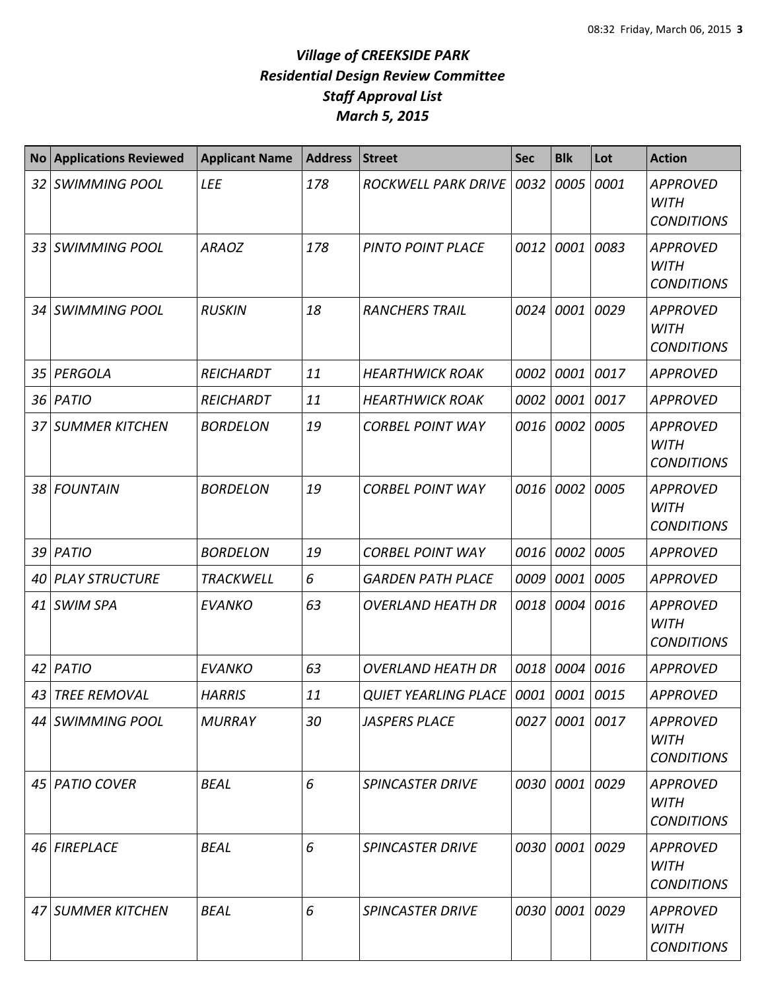| No <sub>1</sub> | <b>Applications Reviewed</b> | <b>Applicant Name</b> | <b>Address</b> | <b>Street</b>               | <b>Sec</b> | <b>Blk</b>     | Lot  | <b>Action</b>                                       |
|-----------------|------------------------------|-----------------------|----------------|-----------------------------|------------|----------------|------|-----------------------------------------------------|
| 32 <sub>1</sub> | <b>SWIMMING POOL</b>         | <b>LEE</b>            | 178            | <b>ROCKWELL PARK DRIVE</b>  | 0032       | 0005           | 0001 | <b>APPROVED</b><br><b>WITH</b><br><b>CONDITIONS</b> |
|                 | 33 SWIMMING POOL             | <b>ARAOZ</b>          | 178            | <b>PINTO POINT PLACE</b>    | 0012       | 0001           | 0083 | <b>APPROVED</b><br><b>WITH</b><br><b>CONDITIONS</b> |
|                 | 34 SWIMMING POOL             | <b>RUSKIN</b>         | 18             | <b>RANCHERS TRAIL</b>       | 0024       | 0001           | 0029 | <b>APPROVED</b><br><b>WITH</b><br><b>CONDITIONS</b> |
| 35 <sub>l</sub> | PERGOLA                      | <b>REICHARDT</b>      | 11             | <b>HEARTHWICK ROAK</b>      | 0002       | 0001           | 0017 | <b>APPROVED</b>                                     |
| 36              | PATIO                        | REICHARDT             | 11             | <b>HEARTHWICK ROAK</b>      | 0002       | 0001           | 0017 | <b>APPROVED</b>                                     |
|                 | <b>37 SUMMER KITCHEN</b>     | <b>BORDELON</b>       | 19             | <b>CORBEL POINT WAY</b>     | 0016       | 0002           | 0005 | <b>APPROVED</b><br><b>WITH</b><br><b>CONDITIONS</b> |
|                 | 38 FOUNTAIN                  | <b>BORDELON</b>       | 19             | <b>CORBEL POINT WAY</b>     | 0016       | 0002           | 0005 | <b>APPROVED</b><br><b>WITH</b><br><b>CONDITIONS</b> |
| 39 <sup>1</sup> | <b>PATIO</b>                 | <b>BORDELON</b>       | 19             | <b>CORBEL POINT WAY</b>     | 0016       | 0002           | 0005 | <b>APPROVED</b>                                     |
| 40 I            | <b>PLAY STRUCTURE</b>        | <b>TRACKWELL</b>      | 6              | <b>GARDEN PATH PLACE</b>    | 0009       | 0001           | 0005 | <b>APPROVED</b>                                     |
| 41              | <b>SWIM SPA</b>              | <b>EVANKO</b>         | 63             | <b>OVERLAND HEATH DR</b>    | 0018       | 0004           | 0016 | <b>APPROVED</b><br><b>WITH</b><br><b>CONDITIONS</b> |
| 42              | <b>PATIO</b>                 | <b>EVANKO</b>         | 63             | <b>OVERLAND HEATH DR</b>    | 0018       | 0004           | 0016 | <b>APPROVED</b>                                     |
|                 | 43 TREE REMOVAL              | <b>HARRIS</b>         | 11             | <b>QUIET YEARLING PLACE</b> |            | 0001 0001      | 0015 | <b>APPROVED</b>                                     |
|                 | 44 SWIMMING POOL             | <b>MURRAY</b>         | 30             | <b>JASPERS PLACE</b>        |            | 0027 0001 0017 |      | <b>APPROVED</b><br><b>WITH</b><br><b>CONDITIONS</b> |
|                 | 45 PATIO COVER               | <b>BEAL</b>           | 6              | <b>SPINCASTER DRIVE</b>     |            | 0030 0001      | 0029 | <b>APPROVED</b><br><b>WITH</b><br><b>CONDITIONS</b> |
|                 | 46 FIREPLACE                 | <b>BEAL</b>           | 6              | <b>SPINCASTER DRIVE</b>     |            | 0030 0001 0029 |      | <b>APPROVED</b><br><b>WITH</b><br><b>CONDITIONS</b> |
|                 | 47 SUMMER KITCHEN            | <b>BEAL</b>           | 6              | <b>SPINCASTER DRIVE</b>     |            | 0030 0001      | 0029 | <b>APPROVED</b><br><b>WITH</b><br><b>CONDITIONS</b> |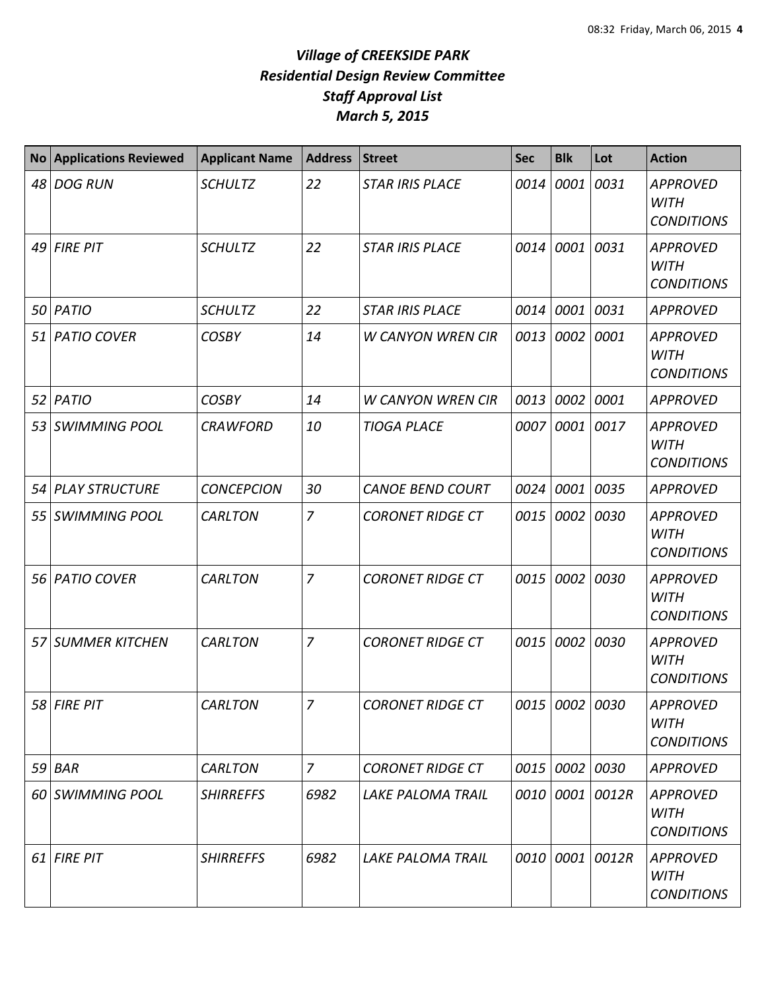| <b>No</b> | <b>Applications Reviewed</b> | <b>Applicant Name</b> | <b>Address</b> | <b>Street</b>            | <b>Sec</b> | <b>Blk</b>     | Lot   | <b>Action</b>                                       |
|-----------|------------------------------|-----------------------|----------------|--------------------------|------------|----------------|-------|-----------------------------------------------------|
| 48        | <b>DOG RUN</b>               | <b>SCHULTZ</b>        | 22             | <b>STAR IRIS PLACE</b>   | 0014       | 0001           | 0031  | <b>APPROVED</b><br><b>WITH</b><br><b>CONDITIONS</b> |
| 49        | <b>FIRE PIT</b>              | <b>SCHULTZ</b>        | 22             | <b>STAR IRIS PLACE</b>   | 0014       | 0001           | 0031  | <b>APPROVED</b><br><b>WITH</b><br><b>CONDITIONS</b> |
| 50        | PATIO                        | <b>SCHULTZ</b>        | 22             | <b>STAR IRIS PLACE</b>   | 0014       | 0001           | 0031  | <b>APPROVED</b>                                     |
| 51        | <b>PATIO COVER</b>           | <b>COSBY</b>          | 14             | <b>W CANYON WREN CIR</b> | 0013       | 0002           | 0001  | <b>APPROVED</b><br><b>WITH</b><br><b>CONDITIONS</b> |
| 52        | PATIO                        | <b>COSBY</b>          | 14             | <b>W CANYON WREN CIR</b> | 0013       | 0002           | 0001  | <b>APPROVED</b>                                     |
| 53        | <b>SWIMMING POOL</b>         | <b>CRAWFORD</b>       | 10             | <b>TIOGA PLACE</b>       | 0007       | 0001           | 0017  | <b>APPROVED</b><br><b>WITH</b><br><b>CONDITIONS</b> |
|           | 54 PLAY STRUCTURE            | <b>CONCEPCION</b>     | 30             | <b>CANOE BEND COURT</b>  | 0024       | 0001           | 0035  | <b>APPROVED</b>                                     |
| 55        | <b>SWIMMING POOL</b>         | <b>CARLTON</b>        | $\overline{z}$ | <b>CORONET RIDGE CT</b>  | 0015       | 0002           | 0030  | <b>APPROVED</b><br><b>WITH</b><br><b>CONDITIONS</b> |
| 56        | <b>PATIO COVER</b>           | <b>CARLTON</b>        | $\overline{7}$ | <b>CORONET RIDGE CT</b>  | 0015       | 0002           | 0030  | <b>APPROVED</b><br><b>WITH</b><br><b>CONDITIONS</b> |
| 57        | <b>SUMMER KITCHEN</b>        | <b>CARLTON</b>        | 7              | <b>CORONET RIDGE CT</b>  | 0015       | 0002           | 0030  | <b>APPROVED</b><br><b>WITH</b><br><b>CONDITIONS</b> |
|           | 58 FIRE PIT                  | <b>CARLTON</b>        | $\overline{7}$ | <b>CORONET RIDGE CT</b>  |            | 0015 0002 0030 |       | <b>APPROVED</b><br><b>WITH</b><br><b>CONDITIONS</b> |
|           | $59$ $BAR$                   | <b>CARLTON</b>        | $\overline{z}$ | <b>CORONET RIDGE CT</b>  |            | 0015 0002      | 0030  | <b>APPROVED</b>                                     |
|           | 60 SWIMMING POOL             | <b>SHIRREFFS</b>      | 6982           | LAKE PALOMA TRAIL        |            | 0010 0001      | 0012R | <b>APPROVED</b><br><b>WITH</b><br><b>CONDITIONS</b> |
|           | $61$ FIRE PIT                | <b>SHIRREFFS</b>      | 6982           | <b>LAKE PALOMA TRAIL</b> |            | 0010 0001      | 0012R | <b>APPROVED</b><br><b>WITH</b><br><b>CONDITIONS</b> |